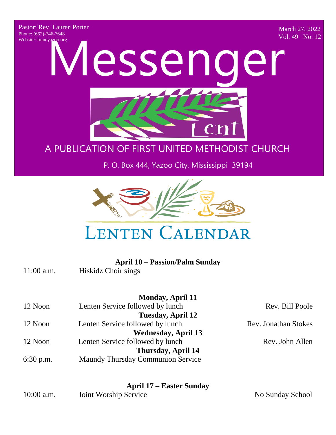Pastor: Rev. Lauren Porter Phone: (662)-746-7648 Website: fumcyazoo.org

March 27, 2022 Vol. 49 No. 12

A PUBLICATION OF FIRST UNITED METHODS P. O. Box 444, Yazoo City, Mississippi 39194 Website: funncy apporting Messenger A PUBLIC CHURCH CONTROL CONTROL CONTROL NOT P. O. Box 444, Yazoo City, Mississippi 39194

#### A PUBLICATION OF FIRST UNITED METHODIST CHURCH

#### P. O. Box 444, Yazoo City, Mississippi 39194



# **LENTEN CALENDAR**

|              | <b>April 10 – Passion/Palm Sunday</b>    |                             |
|--------------|------------------------------------------|-----------------------------|
| $11:00$ a.m. | Hiskidz Choir sings                      |                             |
|              | <b>Monday, April 11</b>                  |                             |
| 12 Noon      | Lenten Service followed by lunch         | Rev. Bill Poole             |
|              | Tuesday, April 12                        |                             |
| 12 Noon      | Lenten Service followed by lunch         | <b>Rev. Jonathan Stokes</b> |
|              | <b>Wednesday, April 13</b>               |                             |
| 12 Noon      | Lenten Service followed by lunch         | Rev. John Allen             |
|              | Thursday, April 14                       |                             |
| $6:30$ p.m.  | <b>Maundy Thursday Communion Service</b> |                             |
|              |                                          |                             |
|              | <b>April 17 – Easter Sunday</b>          |                             |
| $10:00$ a.m. | Joint Worship Service                    | No Sunday School            |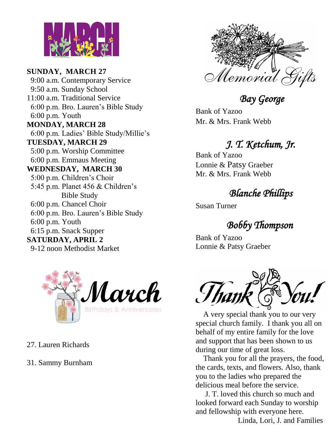

**SUNDAY, MARCH 27** 9:00 a.m. Contemporary Service 9:50 a.m. Sunday School 11:00 a.m. Traditional Service 6:00 p.m. Bro. Lauren's Bible Study 6:00 p.m. Youth **MONDAY, MARCH 28** 6:00 p.m. Ladies' Bible Study/Millie's **TUESDAY, MARCH 29** 5:00 p.m. Worship Committee 6:00 p.m. Emmaus Meeting **WEDNESDAY, MARCH 30** 5:00 p.m. Children's Choir 5:45 p.m. Planet 456 & Children's Bible Study 6:00 p.m. Chancel Choir 6:00 p.m. Bro. Lauren's Bible Study 6:00 p.m. Youth 6:15 p.m. Snack Supper **SATURDAY, APRIL 2** 9-12 noon Methodist Market



- 27. Lauren Richards
- 31. Sammy Burnham



 *Bay George* 

Bank of Yazoo Mr. & Mrs. Frank Webb

#### *J. T. Ketchum, Jr.*

Bank of Yazoo Lonnie & Patsy Graeber Mr. & Mrs. Frank Webb

#### *Blanche Phillips*

Susan Turner

## *Bobby Thompson*

Bank of Yazoo Lonnie & Patsy Graeber



 A very special thank you to our very special church family. I thank you all on behalf of my entire family for the love and support that has been shown to us during our time of great loss.

 Thank you for all the prayers, the food, the cards, texts, and flowers. Also, thank you to the ladies who prepared the delicious meal before the service.

 J. T. loved this church so much and looked forward each Sunday to worship and fellowship with everyone here.

Linda, Lori, J. and Families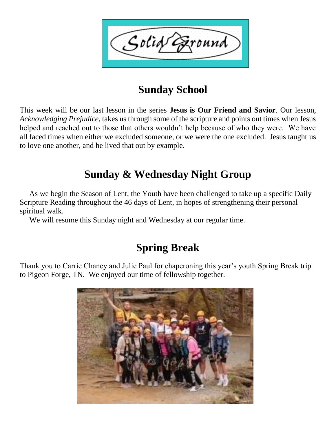Solid Exound

#### **Sunday School**

This week will be our last lesson in the series **Jesus is Our Friend and Savior**. Our lesson, *Acknowledging Prejudice,* takes us through some of the scripture and points out times when Jesus helped and reached out to those that others wouldn't help because of who they were. We have all faced times when either we excluded someone, or we were the one excluded. Jesus taught us to love one another, and he lived that out by example.

#### **Sunday & Wednesday Night Group**

 As we begin the Season of Lent, the Youth have been challenged to take up a specific Daily Scripture Reading throughout the 46 days of Lent, in hopes of strengthening their personal spiritual walk.

We will resume this Sunday night and Wednesday at our regular time.

#### **Spring Break**

Thank you to Carrie Chaney and Julie Paul for chaperoning this year's youth Spring Break trip to Pigeon Forge, TN. We enjoyed our time of fellowship together.

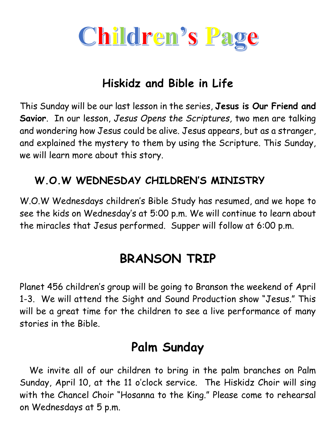

### **Hiskidz and Bible in Life**

This Sunday will be our last lesson in the series, **Jesus is Our Friend and Savior**. In our lesson, *Jesus Opens the Scriptures,* two men are talking and wondering how Jesus could be alive. Jesus appears, but as a stranger, and explained the mystery to them by using the Scripture. This Sunday, we will learn more about this story.

#### **W.O.W WEDNESDAY CHILDREN'S MINISTRY**

W.O.W Wednesdays children's Bible Study has resumed, and we hope to see the kids on Wednesday's at 5:00 p.m. We will continue to learn about the miracles that Jesus performed. Supper will follow at 6:00 p.m.

# **BRANSON TRIP**

Planet 456 children's group will be going to Branson the weekend of April 1-3. We will attend the Sight and Sound Production show "Jesus." This will be a great time for the children to see a live performance of many stories in the Bible.

## **Palm Sunday**

 We invite all of our children to bring in the palm branches on Palm Sunday, April 10, at the 11 o'clock service. The Hiskidz Choir will sing with the Chancel Choir "Hosanna to the King." Please come to rehearsal on Wednesdays at 5 p.m.